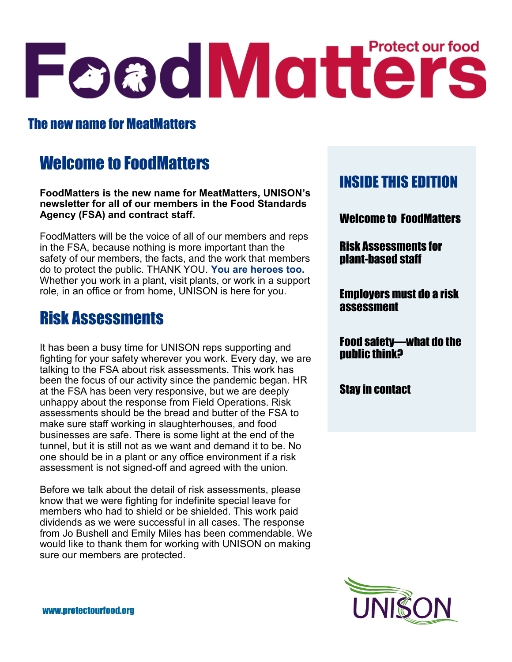# Foad Matters

## The new name for MeatMatters

# Welcome to FoodMatters

**FoodMatters is the new name for MeatMatters, UNISON's newsletter for all of our members in the Food Standards Agency (FSA) and contract staff.**

FoodMatters will be the voice of all of our members and reps in the FSA, because nothing is more important than the safety of our members, the facts, and the work that members do to protect the public. THANK YOU. **You are heroes too.**  Whether you work in a plant, visit plants, or work in a support role, in an office or from home, UNISON is here for you.

# Risk Assessments

It has been a busy time for UNISON reps supporting and fighting for your safety wherever you work. Every day, we are talking to the FSA about risk assessments. This work has been the focus of our activity since the pandemic began. HR at the FSA has been very responsive, but we are deeply unhappy about the response from Field Operations. Risk assessments should be the bread and butter of the FSA to make sure staff working in slaughterhouses, and food businesses are safe. There is some light at the end of the tunnel, but it is still not as we want and demand it to be. No one should be in a plant or any office environment if a risk assessment is not signed-off and agreed with the union.

Before we talk about the detail of risk assessments, please know that we were fighting for indefinite special leave for members who had to shield or be shielded. This work paid dividends as we were successful in all cases. The response from Jo Bushell and Emily Miles has been commendable. We would like to thank them for working with UNISON on making sure our members are protected.

## INSIDE THIS EDITION

Welcome to FoodMatters

Risk Assessments for plant-based staff

Employers must do a risk assessment

Food safety—what do the public think?

Stay in contact

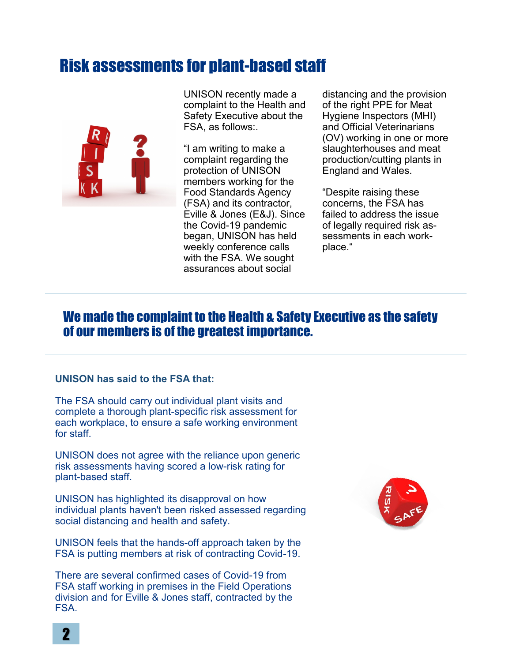## Risk assessments for plant-based staff



UNISON recently made a complaint to the Health and Safety Executive about the FSA, as follows:.

"I am writing to make a complaint regarding the protection of UNISON members working for the Food Standards Agency (FSA) and its contractor, Eville & Jones (E&J). Since the Covid-19 pandemic began, UNISON has held weekly conference calls with the FSA. We sought assurances about social

distancing and the provision of the right PPE for Meat Hygiene Inspectors (MHI) and Official Veterinarians (OV) working in one or more slaughterhouses and meat production/cutting plants in England and Wales.

"Despite raising these concerns, the FSA has failed to address the issue of legally required risk assessments in each workplace."

### We made the complaint to the Health & Safety Executive as the safety of our members is of the greatest importance.

#### **UNISON has said to the FSA that:**

The FSA should carry out individual plant visits and complete a thorough plant-specific risk assessment for each workplace, to ensure a safe working environment for staff.

UNISON does not agree with the reliance upon generic risk assessments having scored a low-risk rating for plant-based staff.

UNISON has highlighted its disapproval on how individual plants haven't been risked assessed regarding social distancing and health and safety.

UNISON feels that the hands-off approach taken by the FSA is putting members at risk of contracting Covid-19.

There are several confirmed cases of Covid-19 from FSA staff working in premises in the Field Operations division and for Eville & Jones staff, contracted by the FSA.

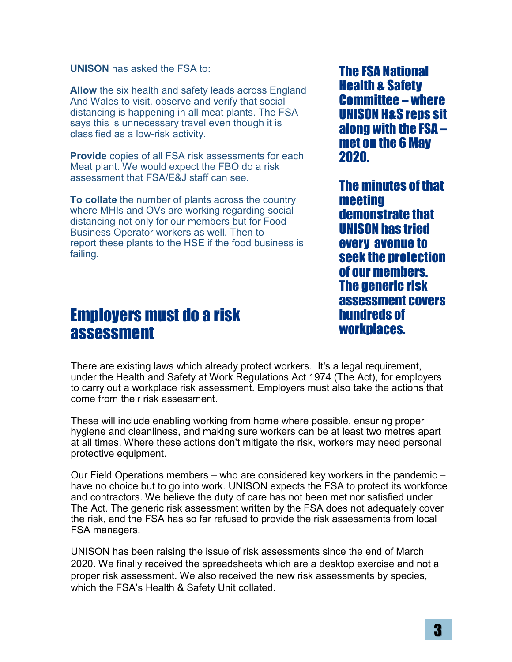**UNISON** has asked the FSA to:

**Allow** the six health and safety leads across England And Wales to visit, observe and verify that social distancing is happening in all meat plants. The FSA says this is unnecessary travel even though it is classified as a low-risk activity.

**Provide** copies of all FSA risk assessments for each Meat plant. We would expect the FBO do a risk assessment that FSA/E&J staff can see.

**To collate** the number of plants across the country where MHIs and OVs are working regarding social distancing not only for our members but for Food Business Operator workers as well. Then to report these plants to the HSE if the food business is failing.

The FSA National Health & Safety Committee – where UNISON H&S reps sit along with the FSA – met on the 6 May 2020.

The minutes of that meeting demonstrate that UNISON has tried every avenue to seek the protection of our members. The generic risk assessment covers hundreds of workplaces.

# Employers must do a risk assessment

There are existing laws which already protect workers. It's a legal requirement, under the Health and Safety at Work Regulations Act 1974 (The Act), for employers to carry out a workplace risk assessment. Employers must also take the actions that come from their risk assessment.

These will include enabling working from home where possible, ensuring proper hygiene and cleanliness, and making sure workers can be at least two metres apart at all times. Where these actions don't mitigate the risk, workers may need personal protective equipment.

Our Field Operations members – who are considered key workers in the pandemic – have no choice but to go into work. UNISON expects the FSA to protect its workforce and contractors. We believe the duty of care has not been met nor satisfied under The Act. The generic risk assessment written by the FSA does not adequately cover the risk, and the FSA has so far refused to provide the risk assessments from local FSA managers.

UNISON has been raising the issue of risk assessments since the end of March 2020. We finally received the spreadsheets which are a desktop exercise and not a proper risk assessment. We also received the new risk assessments by species, which the FSA's Health & Safety Unit collated.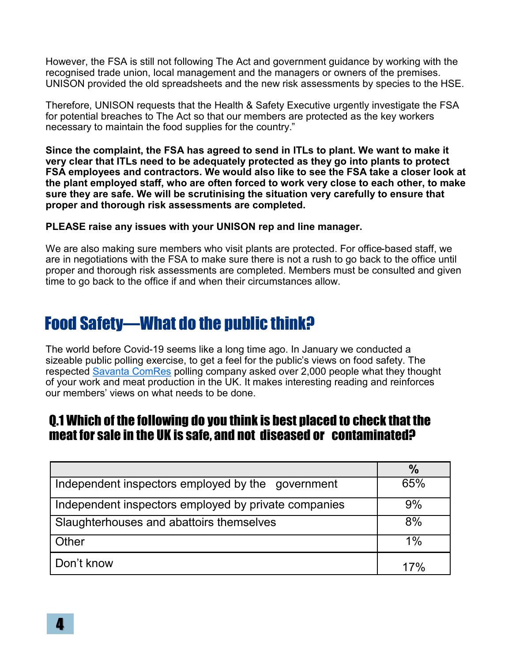However, the FSA is still not following The Act and government guidance by working with the recognised trade union, local management and the managers or owners of the premises. UNISON provided the old spreadsheets and the new risk assessments by species to the HSE.

Therefore, UNISON requests that the Health & Safety Executive urgently investigate the FSA for potential breaches to The Act so that our members are protected as the key workers necessary to maintain the food supplies for the country."

**Since the complaint, the FSA has agreed to send in ITLs to plant. We want to make it very clear that ITLs need to be adequately protected as they go into plants to protect FSA employees and contractors. We would also like to see the FSA take a closer look at the plant employed staff, who are often forced to work very close to each other, to make sure they are safe. We will be scrutinising the situation very carefully to ensure that proper and thorough risk assessments are completed.** 

#### **PLEASE raise any issues with your UNISON rep and line manager.**

We are also making sure members who visit plants are protected. For office-based staff, we are in negotiations with the FSA to make sure there is not a rush to go back to the office until proper and thorough risk assessments are completed. Members must be consulted and given time to go back to the office if and when their circumstances allow.

# Food Safety—What do the public think?

The world before Covid-19 seems like a long time ago. In January we conducted a sizeable public polling exercise, to get a feel for the public's views on food safety. The respected [Savanta ComRes](https://comresglobal.com/) polling company asked over 2,000 people what they thought of your work and meat production in the UK. It makes interesting reading and reinforces our members' views on what needs to be done.

## Q.1 Which of the following do you think is best placed to check that the meat for sale in the UK is safe, and not diseased or contaminated?

|                                                      | $\frac{0}{0}$ |
|------------------------------------------------------|---------------|
| Independent inspectors employed by the government    | 65%           |
| Independent inspectors employed by private companies | 9%            |
| Slaughterhouses and abattoirs themselves             | 8%            |
| Other                                                | 1%            |
| Don't know                                           | $17\%$        |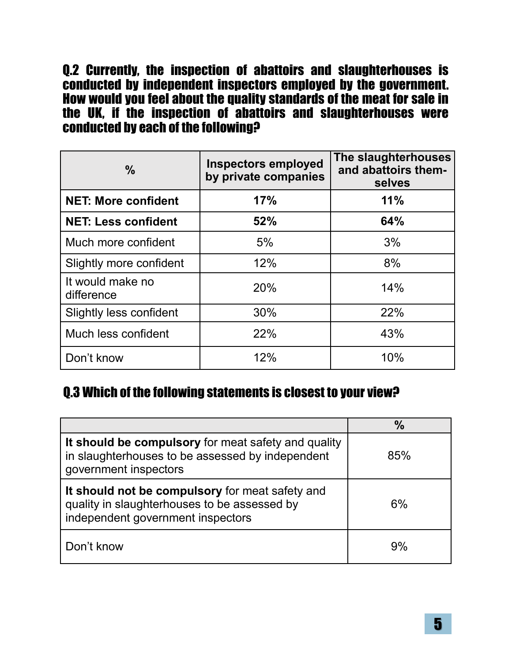Q.2 Currently, the inspection of abattoirs and slaughterhouses is conducted by independent inspectors employed by the government. How would you feel about the quality standards of the meat for sale in the UK, if the inspection of abattoirs and slaughterhouses were conducted by each of the following?

| $\frac{0}{0}$                  | <b>Inspectors employed</b><br>by private companies | The slaughterhouses<br>and abattoirs them-<br>selves |
|--------------------------------|----------------------------------------------------|------------------------------------------------------|
| <b>NET: More confident</b>     | 17%                                                | 11%                                                  |
| <b>NET: Less confident</b>     | 52%                                                | 64%                                                  |
| Much more confident            | 5%                                                 | 3%                                                   |
| Slightly more confident        | 12%                                                | 8%                                                   |
| It would make no<br>difference | 20%                                                | 14%                                                  |
| <b>Slightly less confident</b> | 30%                                                | 22%                                                  |
| Much less confident            | 22%                                                | 43%                                                  |
| Don't know                     | 12%                                                | 10%                                                  |

## Q.3 Which of the following statements is closest to your view?

|                                                                                                                                      | $\frac{0}{0}$ |
|--------------------------------------------------------------------------------------------------------------------------------------|---------------|
| It should be compulsory for meat safety and quality<br>in slaughterhouses to be assessed by independent<br>government inspectors     | 85%           |
| It should not be compulsory for meat safety and<br>quality in slaughterhouses to be assessed by<br>independent government inspectors | 6%            |
| Don't know                                                                                                                           | 9%            |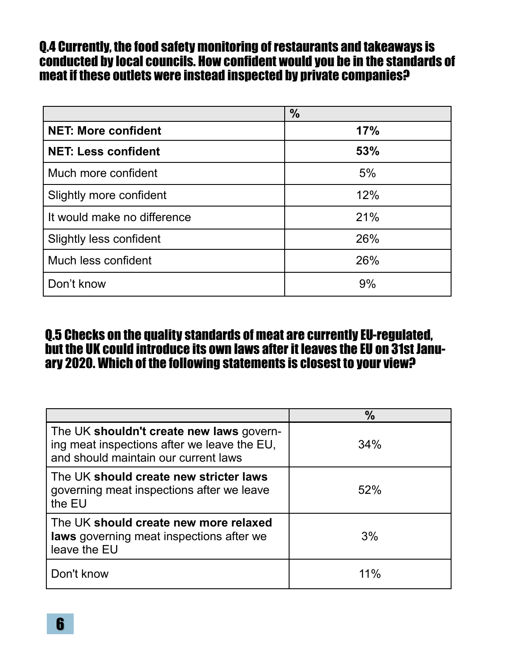## Q.4 Currently, the food safety monitoring of restaurants and takeaways is conducted by local councils. How confident would you be in the standards of meat if these outlets were instead inspected by private companies?

|                                | $\frac{0}{0}$ |
|--------------------------------|---------------|
| <b>NET: More confident</b>     | 17%           |
| <b>NET: Less confident</b>     | 53%           |
| Much more confident            | 5%            |
| Slightly more confident        | 12%           |
| It would make no difference    | 21%           |
| <b>Slightly less confident</b> | 26%           |
| Much less confident            | 26%           |
| Don't know                     | 9%            |

## Q.5 Checks on the quality standards of meat are currently EU-regulated, but the UK could introduce its own laws after it leaves the EU on 31st January 2020. Which of the following statements is closest to your view?

|                                                                                                                                 | $\frac{0}{0}$ |
|---------------------------------------------------------------------------------------------------------------------------------|---------------|
| The UK shouldn't create new laws govern-<br>ing meat inspections after we leave the EU,<br>and should maintain our current laws | 34%           |
| The UK should create new stricter laws<br>governing meat inspections after we leave<br>the EU                                   | 52%           |
| The UK should create new more relaxed<br>laws governing meat inspections after we<br>leave the EU                               | 3%            |
| Don't know                                                                                                                      | 11%           |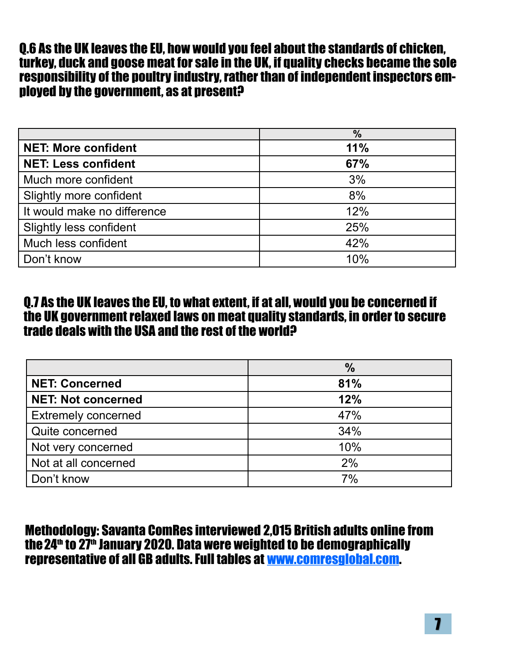Q.6 As the UK leaves the EU, how would you feel about the standards of chicken, turkey, duck and goose meat for sale in the UK, if quality checks became the sole responsibility of the poultry industry, rather than of independent inspectors employed by the government, as at present?

|                                | $\%$ |
|--------------------------------|------|
| <b>NET: More confident</b>     | 11%  |
| <b>NET: Less confident</b>     | 67%  |
| Much more confident            | 3%   |
| Slightly more confident        | 8%   |
| It would make no difference    | 12%  |
| <b>Slightly less confident</b> | 25%  |
| Much less confident            | 42%  |
| Don't know                     | 10%  |

## Q.7 As the UK leaves the EU, to what extent, if at all, would you be concerned if the UK government relaxed laws on meat quality standards, in order to secure trade deals with the USA and the rest of the world?

|                            | $\%$ |
|----------------------------|------|
| <b>NET: Concerned</b>      | 81%  |
| <b>NET: Not concerned</b>  | 12%  |
| <b>Extremely concerned</b> | 47%  |
| Quite concerned            | 34%  |
| Not very concerned         | 10%  |
| Not at all concerned       | 2%   |
| Don't know                 | 7%   |

Methodology: Savanta ComRes interviewed 2,015 British adults online from the 24<sup>th</sup> to 27<sup>th</sup> January 2020. Data were weighted to be demographically representative of all GB adults. Full tables at [www.comresglobal.com.](http://www.comresglobal.com/)